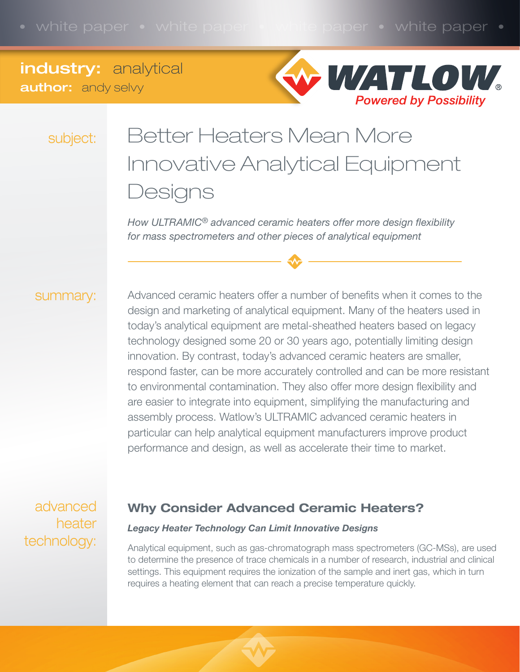## industry: analytical **author:** andy selvy



subject:

# Better Heaters Mean More Innovative Analytical Equipment **Designs**

*How ULTRAMIC® advanced ceramic heaters offer more design flexibility for mass spectrometers and other pieces of analytical equipment*

#### summary:

Advanced ceramic heaters offer a number of benefits when it comes to the design and marketing of analytical equipment. Many of the heaters used in today's analytical equipment are metal-sheathed heaters based on legacy technology designed some 20 or 30 years ago, potentially limiting design innovation. By contrast, today's advanced ceramic heaters are smaller, respond faster, can be more accurately controlled and can be more resistant to environmental contamination. They also offer more design flexibility and are easier to integrate into equipment, simplifying the manufacturing and assembly process. Watlow's ULTRAMIC advanced ceramic heaters in particular can help analytical equipment manufacturers improve product performance and design, as well as accelerate their time to market.

advanced heater technology:

### Why Consider Advanced Ceramic Heaters?

#### *Legacy Heater Technology Can Limit Innovative Designs*

Analytical equipment, such as gas-chromatograph mass spectrometers (GC-MSs), are used to determine the presence of trace chemicals in a number of research, industrial and clinical settings. This equipment requires the ionization of the sample and inert gas, which in turn requires a heating element that can reach a precise temperature quickly.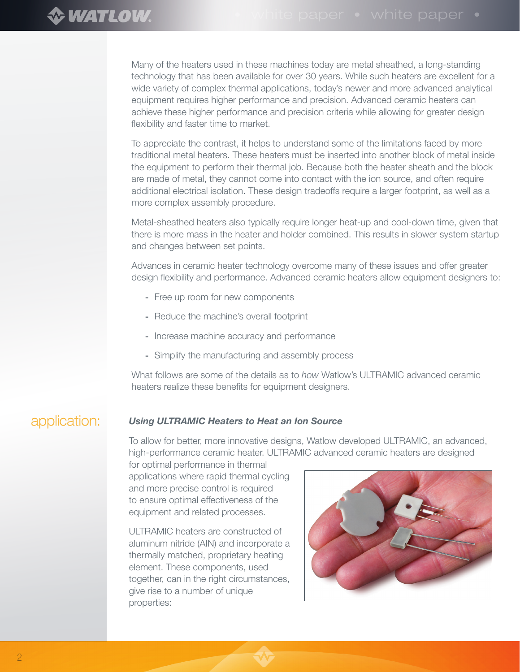Many of the heaters used in these machines today are metal sheathed, a long-standing technology that has been available for over 30 years. While such heaters are excellent for a wide variety of complex thermal applications, today's newer and more advanced analytical equipment requires higher performance and precision. Advanced ceramic heaters can achieve these higher performance and precision criteria while allowing for greater design flexibility and faster time to market.

To appreciate the contrast, it helps to understand some of the limitations faced by more traditional metal heaters. These heaters must be inserted into another block of metal inside the equipment to perform their thermal job. Because both the heater sheath and the block are made of metal, they cannot come into contact with the ion source, and often require additional electrical isolation. These design tradeoffs require a larger footprint, as well as a more complex assembly procedure.

Metal-sheathed heaters also typically require longer heat-up and cool-down time, given that there is more mass in the heater and holder combined. This results in slower system startup and changes between set points.

Advances in ceramic heater technology overcome many of these issues and offer greater design flexibility and performance. Advanced ceramic heaters allow equipment designers to:

- Free up room for new components
- Reduce the machine's overall footprint
- Increase machine accuracy and performance
- Simplify the manufacturing and assembly process

What follows are some of the details as to *how* Watlow's ULTRAMIC advanced ceramic heaters realize these benefits for equipment designers.

#### application: *Using ULTRAMIC Heaters to Heat an Ion Source*

To allow for better, more innovative designs, Watlow developed ULTRAMIC, an advanced, high-performance ceramic heater. ULTRAMIC advanced ceramic heaters are designed

for optimal performance in thermal applications where rapid thermal cycling and more precise control is required to ensure optimal effectiveness of the equipment and related processes.

ULTRAMIC heaters are constructed of aluminum nitride (AIN) and incorporate a thermally matched, proprietary heating element. These components, used together, can in the right circumstances, give rise to a number of unique properties:

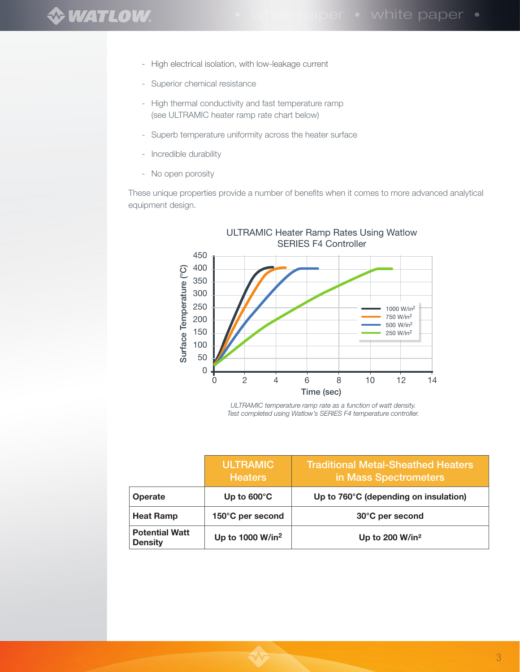- High electrical isolation, with low-leakage current
- Superior chemical resistance
- High thermal conductivity and fast temperature ramp (see ULTRAMIC heater ramp rate chart below)
- Superb temperature uniformity across the heater surface
- Incredible durability
- No open porosity

These unique properties provide a number of benefits when it comes to more advanced analytical equipment design.



*ULTRAMIC temperature ramp rate as a function of watt density. Test completed using Watlow's SERIES F4 temperature controller.*

|                                         | <b>ULTRAMIC</b><br><b>Heaters</b> | <b>Traditional Metal-Sheathed Heaters</b><br>in Mass Spectrometers |
|-----------------------------------------|-----------------------------------|--------------------------------------------------------------------|
| <b>Operate</b>                          | Up to $600^{\circ}$ C             | Up to 760°C (depending on insulation)                              |
| <b>Heat Ramp</b>                        | 150°C per second                  | 30°C per second                                                    |
| <b>Potential Watt</b><br><b>Density</b> | Up to 1000 W/in <sup>2</sup>      | Up to 200 W/in <sup>2</sup>                                        |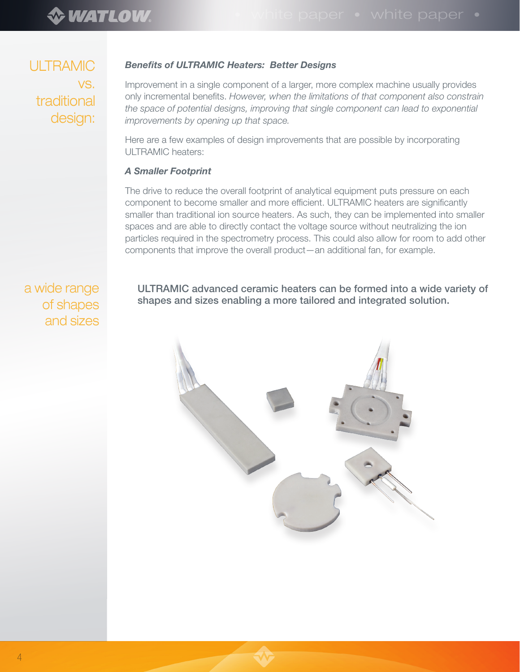ULTRAMIC vs. traditional design:

#### *Benefits of ULTRAMIC Heaters: Better Designs*

Improvement in a single component of a larger, more complex machine usually provides only incremental benefits. *However, when the limitations of that component also constrain the space of potential designs, improving that single component can lead to exponential improvements by opening up that space.*

Here are a few examples of design improvements that are possible by incorporating ULTRAMIC heaters:

#### *A Smaller Footprint*

The drive to reduce the overall footprint of analytical equipment puts pressure on each component to become smaller and more efficient. ULTRAMIC heaters are significantly smaller than traditional ion source heaters. As such, they can be implemented into smaller spaces and are able to directly contact the voltage source without neutralizing the ion particles required in the spectrometry process. This could also allow for room to add other components that improve the overall product—an additional fan, for example.

a wide range of shapes and sizes

ULTRAMIC advanced ceramic heaters can be formed into a wide variety of shapes and sizes enabling a more tailored and integrated solution.

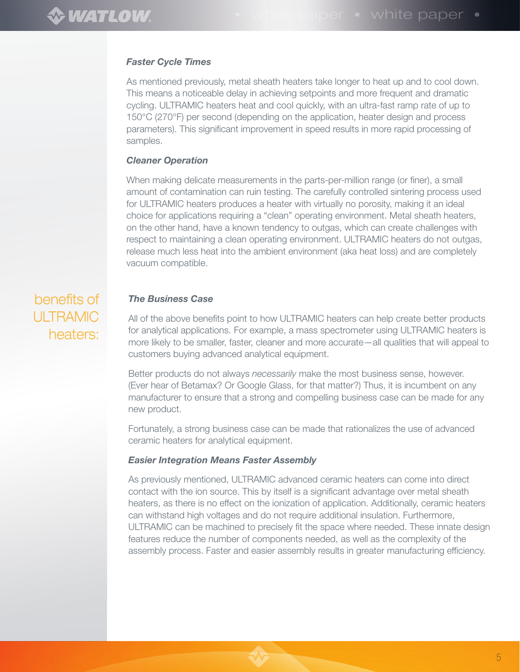#### *Faster Cycle Times*

As mentioned previously, metal sheath heaters take longer to heat up and to cool down. This means a noticeable delay in achieving setpoints and more frequent and dramatic cycling. ULTRAMIC heaters heat and cool quickly, with an ultra-fast ramp rate of up to 150°C (270°F) per second (depending on the application, heater design and process parameters). This significant improvement in speed results in more rapid processing of samples.

#### *Cleaner Operation*

When making delicate measurements in the parts-per-million range (or finer), a small amount of contamination can ruin testing. The carefully controlled sintering process used for ULTRAMIC heaters produces a heater with virtually no porosity, making it an ideal choice for applications requiring a "clean" operating environment. Metal sheath heaters, on the other hand, have a known tendency to outgas, which can create challenges with respect to maintaining a clean operating environment. ULTRAMIC heaters do not outgas, release much less heat into the ambient environment (aka heat loss) and are completely vacuum compatible.

# benefits of ULTRAMIC heaters:

#### *The Business Case*

All of the above benefits point to how ULTRAMIC heaters can help create better products for analytical applications. For example, a mass spectrometer using ULTRAMIC heaters is more likely to be smaller, faster, cleaner and more accurate—all qualities that will appeal to customers buying advanced analytical equipment.

Better products do not always *necessarily* make the most business sense, however. (Ever hear of Betamax? Or Google Glass, for that matter?) Thus, it is incumbent on any manufacturer to ensure that a strong and compelling business case can be made for any new product.

Fortunately, a strong business case can be made that rationalizes the use of advanced ceramic heaters for analytical equipment.

#### *Easier Integration Means Faster Assembly*

As previously mentioned, ULTRAMIC advanced ceramic heaters can come into direct contact with the ion source. This by itself is a significant advantage over metal sheath heaters, as there is no effect on the ionization of application. Additionally, ceramic heaters can withstand high voltages and do not require additional insulation. Furthermore, ULTRAMIC can be machined to precisely fit the space where needed. These innate design features reduce the number of components needed, as well as the complexity of the assembly process. Faster and easier assembly results in greater manufacturing efficiency.